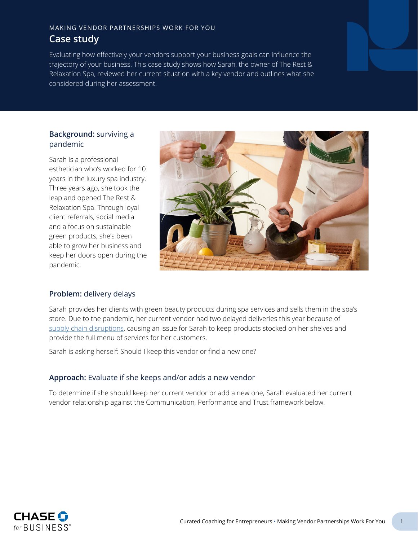## MAKING VENDOR PARTNERSHIPS WORK FOR YOU **Case study**

Evaluating how effectively your vendors support your business goals can influence the trajectory of your business. This case study shows how Sarah, the owner of The Rest & Relaxation Spa, reviewed her current situation with a key vendor and outlines what she considered during her assessment.

#### **Background:** surviving a pandemic

Sarah is a professional esthetician who's worked for 10 years in the luxury spa industry. Three years ago, she took the leap and opened The Rest & Relaxation Spa. Through loyal client referrals, social media and a focus on sustainable green products, she's been able to grow her business and keep her doors open during the pandemic.



## **Problem:** delivery delays

Sarah provides her clients with green beauty products during spa services and sells them in the spa's store. Due to the pandemic, her current vendor had two delayed deliveries this year because of [supply chain disruptions](#page-3-0), causing an issue for Sarah to keep products stocked on her shelves and provide the full menu of services for her customers.

Sarah is asking herself: Should I keep this vendor or find a new one?

## **Approach:** Evaluate if she keeps and/or adds a new vendor

To determine if she should keep her current vendor or add a new one, Sarah evaluated her current vendor relationship against the Communication, Performance and Trust framework below.

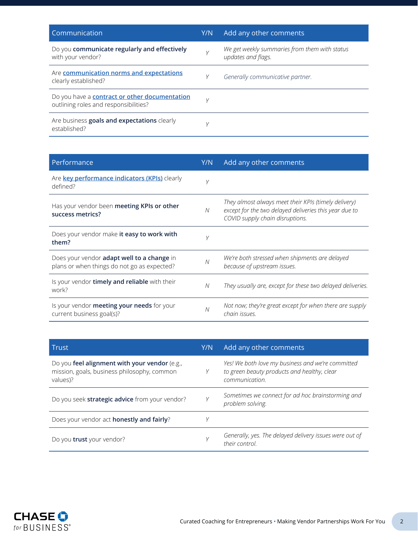| Communication                                                                                 | Y/N | Add any other comments                                              |
|-----------------------------------------------------------------------------------------------|-----|---------------------------------------------------------------------|
| Do you communicate regularly and effectively<br>with your vendor?                             |     | We get weekly summaries from them with status<br>updates and flags. |
| Are communication norms and expectations<br>clearly established?                              | Υ   | Generally communicative partner.                                    |
| Do you have a <b>contract or other documentation</b><br>outlining roles and responsibilities? | V   |                                                                     |
| Are business goals and expectations clearly<br>established?                                   |     |                                                                     |

| Performance                                                                                      | Y/N | Add any other comments                                                                                                                            |
|--------------------------------------------------------------------------------------------------|-----|---------------------------------------------------------------------------------------------------------------------------------------------------|
| Are key performance indicators (KPIs) clearly<br>defined?                                        | V   |                                                                                                                                                   |
| Has your vendor been meeting KPIs or other<br>success metrics?                                   | N   | They almost always meet their KPIs (timely delivery)<br>except for the two delayed deliveries this year due to<br>COVID supply chain disruptions. |
| Does your vendor make it easy to work with<br>them?                                              | V   |                                                                                                                                                   |
| Does your vendor <b>adapt well to a change</b> in<br>plans or when things do not go as expected? | N   | We're both stressed when shipments are delayed<br>because of upstream issues.                                                                     |
| Is your vendor timely and reliable with their<br>work?                                           | N   | They usually are, except for these two delayed deliveries.                                                                                        |
| Is your vendor <b>meeting your needs</b> for your<br>current business goal(s)?                   | N   | Not now; they're great except for when there are supply<br>chain issues.                                                                          |

| Trust                                                                                                    | Y/N | Add any other comments                                                                                             |
|----------------------------------------------------------------------------------------------------------|-----|--------------------------------------------------------------------------------------------------------------------|
| Do you feel alignment with your vendor (e.g.,<br>mission, goals, business philosophy, common<br>values)? | Υ   | Yes! We both love my business and we're committed<br>to green beauty products and healthy, clear<br>communication. |
| Do you seek strategic advice from your vendor?                                                           |     | Sometimes we connect for ad hoc brainstorming and<br>problem solving.                                              |
| Does your vendor act honestly and fairly?                                                                |     |                                                                                                                    |
| Do you <b>trust</b> your vendor?                                                                         |     | Generally, yes. The delayed delivery issues were out of<br>their control.                                          |

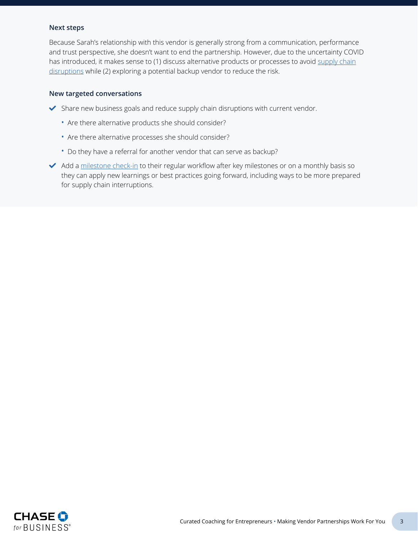#### **Next steps**

Because Sarah's relationship with this vendor is generally strong from a communication, performance and trust perspective, she doesn't want to end the partnership. However, due to the uncertainty COVID has introduced, it makes sense to (1) discuss alternative products or processes to avoid [supply chain](#page-3-0) [disruptions](#page-3-0) while (2) exploring a potential backup vendor to reduce the risk.

#### **New targeted conversations**

- $\blacktriangleright$  Share new business goals and reduce supply chain disruptions with current vendor.
	- Are there alternative products she should consider?
	- Are there alternative processes she should consider?
	- Do they have a referral for another vendor that can serve as backup?
- Add a [milestone check-in](#page-3-4) to their regular workflow after key milestones or on a monthly basis so they can apply new learnings or best practices going forward, including ways to be more prepared for supply chain interruptions.